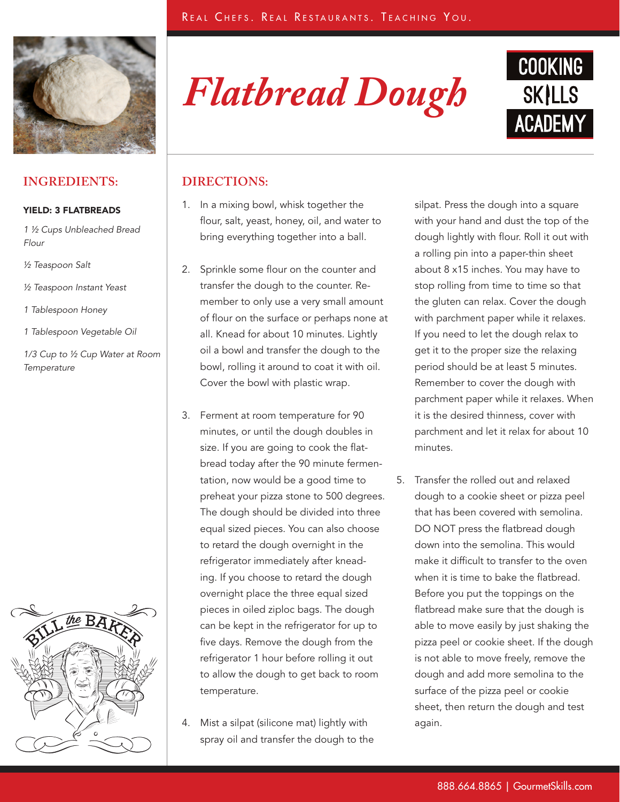

## **INGREDIENTS:**

#### YIELD: 3 FLATBREADS

*1 ½ Cups Unbleached Bread Flour* 

- *½ Teaspoon Salt*
- *½ Teaspoon Instant Yeast*
- *1 Tablespoon Honey*
- *1 Tablespoon Vegetable Oil*

*1/3 Cup to ½ Cup Water at Room Temperature*



*Flatbread Dough*



### **DIRECTIONS:**

- 1. In a mixing bowl, whisk together the flour, salt, yeast, honey, oil, and water to bring everything together into a ball.
- 2. Sprinkle some flour on the counter and transfer the dough to the counter. Remember to only use a very small amount of flour on the surface or perhaps none at all. Knead for about 10 minutes. Lightly oil a bowl and transfer the dough to the bowl, rolling it around to coat it with oil. Cover the bowl with plastic wrap.
- 3. Ferment at room temperature for 90 minutes, or until the dough doubles in size. If you are going to cook the flatbread today after the 90 minute fermentation, now would be a good time to preheat your pizza stone to 500 degrees. The dough should be divided into three equal sized pieces. You can also choose to retard the dough overnight in the refrigerator immediately after kneading. If you choose to retard the dough overnight place the three equal sized pieces in oiled ziploc bags. The dough can be kept in the refrigerator for up to five days. Remove the dough from the refrigerator 1 hour before rolling it out to allow the dough to get back to room temperature.
- 4. Mist a silpat (silicone mat) lightly with spray oil and transfer the dough to the

silpat. Press the dough into a square with your hand and dust the top of the dough lightly with flour. Roll it out with a rolling pin into a paper-thin sheet about 8 x15 inches. You may have to stop rolling from time to time so that the gluten can relax. Cover the dough with parchment paper while it relaxes. If you need to let the dough relax to get it to the proper size the relaxing period should be at least 5 minutes. Remember to cover the dough with parchment paper while it relaxes. When it is the desired thinness, cover with parchment and let it relax for about 10 minutes.

5. Transfer the rolled out and relaxed dough to a cookie sheet or pizza peel that has been covered with semolina. DO NOT press the flatbread dough down into the semolina. This would make it difficult to transfer to the oven when it is time to bake the flatbread. Before you put the toppings on the flatbread make sure that the dough is able to move easily by just shaking the pizza peel or cookie sheet. If the dough is not able to move freely, remove the dough and add more semolina to the surface of the pizza peel or cookie sheet, then return the dough and test again.